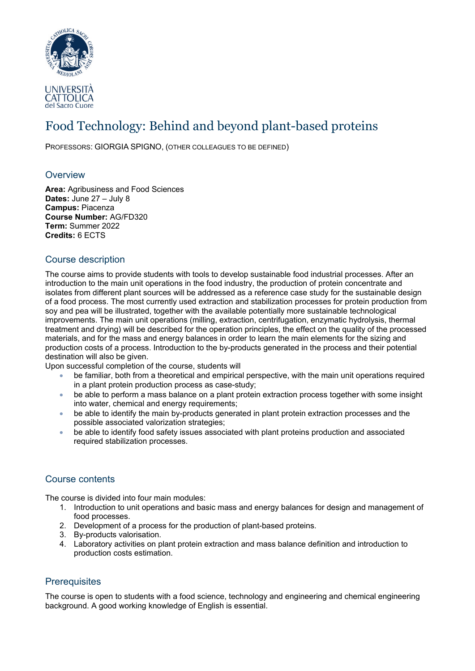

# Food Technology: Behind and beyond plant-based proteins

PROFESSORS: GIORGIA SPIGNO, (OTHER COLLEAGUES TO BE DEFINED)

## **Overview**

**Area:** Agribusiness and Food Sciences **Dates:** June 27 – July 8 **Campus:** Piacenza **Course Number:** AG/FD320 **Term:** Summer 2022 **Credits:** 6 ECTS

## Course description

The course aims to provide students with tools to develop sustainable food industrial processes. After an introduction to the main unit operations in the food industry, the production of protein concentrate and isolates from different plant sources will be addressed as a reference case study for the sustainable design of a food process. The most currently used extraction and stabilization processes for protein production from soy and pea will be illustrated, together with the available potentially more sustainable technological improvements. The main unit operations (milling, extraction, centrifugation, enzymatic hydrolysis, thermal treatment and drying) will be described for the operation principles, the effect on the quality of the processed materials, and for the mass and energy balances in order to learn the main elements for the sizing and production costs of a process. Introduction to the by-products generated in the process and their potential destination will also be given.

Upon successful completion of the course, students will

- be familiar, both from a theoretical and empirical perspective, with the main unit operations required in a plant protein production process as case-study;
- be able to perform a mass balance on a plant protein extraction process together with some insight into water, chemical and energy requirements;
- be able to identify the main by-products generated in plant protein extraction processes and the possible associated valorization strategies;
- be able to identify food safety issues associated with plant proteins production and associated required stabilization processes.

#### Course contents

The course is divided into four main modules:

- 1. Introduction to unit operations and basic mass and energy balances for design and management of food processes.
- 2. Development of a process for the production of plant-based proteins.
- 3. By-products valorisation.
- 4. Laboratory activities on plant protein extraction and mass balance definition and introduction to production costs estimation.

# **Prerequisites**

The course is open to students with a food science, technology and engineering and chemical engineering background. A good working knowledge of English is essential.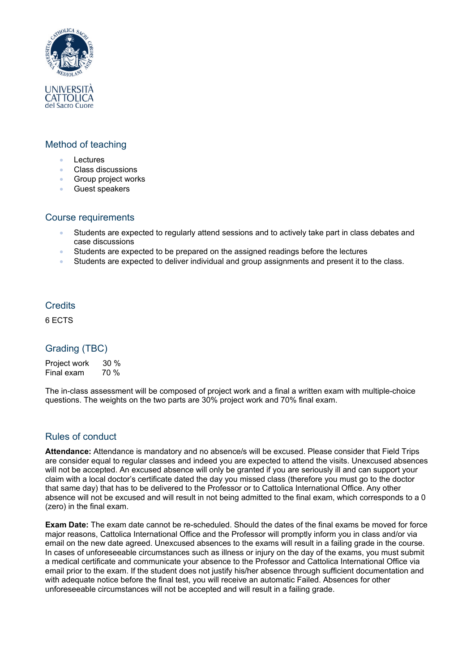

# Method of teaching

- Lectures
- Class discussions
- Group project works
- Guest speakers

#### Course requirements

- Students are expected to regularly attend sessions and to actively take part in class debates and case discussions
- Students are expected to be prepared on the assigned readings before the lectures
- Students are expected to deliver individual and group assignments and present it to the class.

#### **Credits**

6 ECTS

# Grading (TBC)

Project work 30 %<br>Final exam 70 %  $Final$  exam

The in-class assessment will be composed of project work and a final a written exam with multiple-choice questions. The weights on the two parts are 30% project work and 70% final exam.

#### Rules of conduct

**Attendance:** Attendance is mandatory and no absence/s will be excused. Please consider that Field Trips are consider equal to regular classes and indeed you are expected to attend the visits. Unexcused absences will not be accepted. An excused absence will only be granted if you are seriously ill and can support your claim with a local doctor's certificate dated the day you missed class (therefore you must go to the doctor that same day) that has to be delivered to the Professor or to Cattolica International Office. Any other absence will not be excused and will result in not being admitted to the final exam, which corresponds to a 0 (zero) in the final exam.

**Exam Date:** The exam date cannot be re-scheduled. Should the dates of the final exams be moved for force major reasons, Cattolica International Office and the Professor will promptly inform you in class and/or via email on the new date agreed. Unexcused absences to the exams will result in a failing grade in the course. In cases of unforeseeable circumstances such as illness or injury on the day of the exams, you must submit a medical certificate and communicate your absence to the Professor and Cattolica International Office via email prior to the exam. If the student does not justify his/her absence through sufficient documentation and with adequate notice before the final test, you will receive an automatic Failed. Absences for other unforeseeable circumstances will not be accepted and will result in a failing grade.